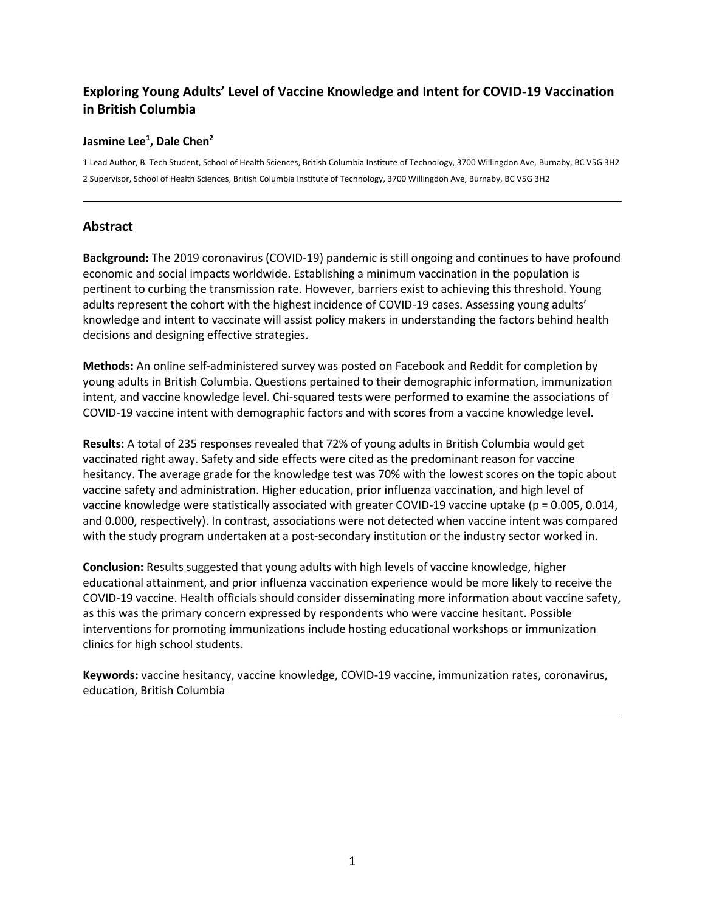# **Exploring Young Adults' Level of Vaccine Knowledge and Intent for COVID-19 Vaccination in British Columbia**

## **Jasmine Lee<sup>1</sup> , Dale Chen<sup>2</sup>**

1 Lead Author, B. Tech Student, School of Health Sciences, British Columbia Institute of Technology, 3700 Willingdon Ave, Burnaby, BC V5G 3H2 2 Supervisor, School of Health Sciences, British Columbia Institute of Technology, 3700 Willingdon Ave, Burnaby, BC V5G 3H2

## **Abstract**

**Background:** The 2019 coronavirus (COVID-19) pandemic is still ongoing and continues to have profound economic and social impacts worldwide. Establishing a minimum vaccination in the population is pertinent to curbing the transmission rate. However, barriers exist to achieving this threshold. Young adults represent the cohort with the highest incidence of COVID-19 cases. Assessing young adults' knowledge and intent to vaccinate will assist policy makers in understanding the factors behind health decisions and designing effective strategies.

**Methods:** An online self-administered survey was posted on Facebook and Reddit for completion by young adults in British Columbia. Questions pertained to their demographic information, immunization intent, and vaccine knowledge level. Chi-squared tests were performed to examine the associations of COVID-19 vaccine intent with demographic factors and with scores from a vaccine knowledge level.

**Results:** A total of 235 responses revealed that 72% of young adults in British Columbia would get vaccinated right away. Safety and side effects were cited as the predominant reason for vaccine hesitancy. The average grade for the knowledge test was 70% with the lowest scores on the topic about vaccine safety and administration. Higher education, prior influenza vaccination, and high level of vaccine knowledge were statistically associated with greater COVID-19 vaccine uptake (p = 0.005, 0.014, and 0.000, respectively). In contrast, associations were not detected when vaccine intent was compared with the study program undertaken at a post-secondary institution or the industry sector worked in.

**Conclusion:** Results suggested that young adults with high levels of vaccine knowledge, higher educational attainment, and prior influenza vaccination experience would be more likely to receive the COVID-19 vaccine. Health officials should consider disseminating more information about vaccine safety, as this was the primary concern expressed by respondents who were vaccine hesitant. Possible interventions for promoting immunizations include hosting educational workshops or immunization clinics for high school students.

**Keywords:** vaccine hesitancy, vaccine knowledge, COVID-19 vaccine, immunization rates, coronavirus, education, British Columbia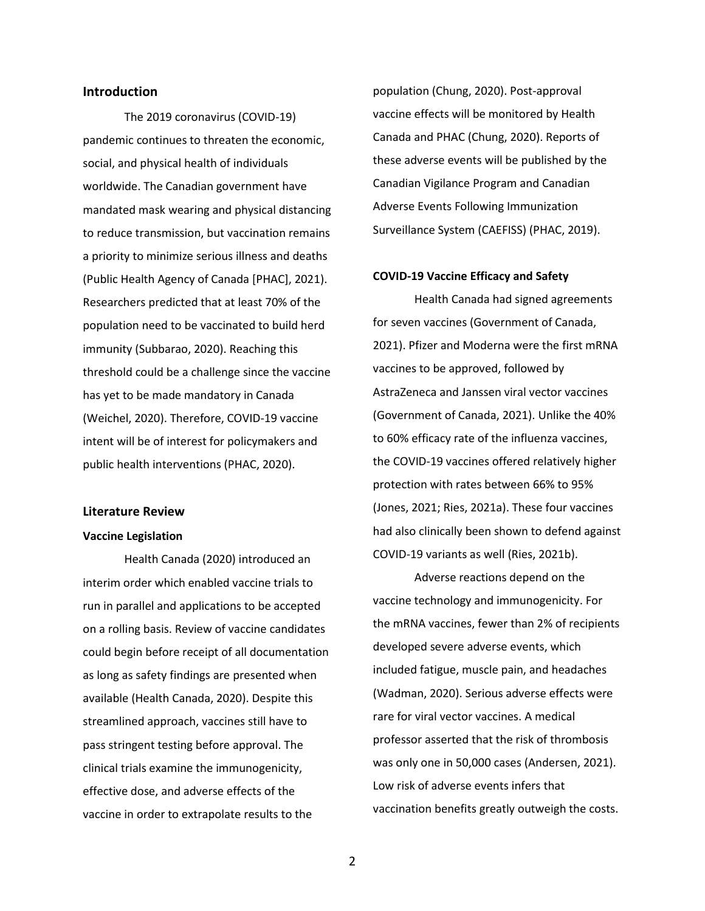## **Introduction**

The 2019 coronavirus (COVID-19) pandemic continues to threaten the economic, social, and physical health of individuals worldwide. The Canadian government have mandated mask wearing and physical distancing to reduce transmission, but vaccination remains a priority to minimize serious illness and deaths (Public Health Agency of Canada [PHAC], 2021). Researchers predicted that at least 70% of the population need to be vaccinated to build herd immunity (Subbarao, 2020). Reaching this threshold could be a challenge since the vaccine has yet to be made mandatory in Canada (Weichel, 2020). Therefore, COVID-19 vaccine intent will be of interest for policymakers and public health interventions (PHAC, 2020).

## **Literature Review**

#### **Vaccine Legislation**

Health Canada (2020) introduced an interim order which enabled vaccine trials to run in parallel and applications to be accepted on a rolling basis. Review of vaccine candidates could begin before receipt of all documentation as long as safety findings are presented when available (Health Canada, 2020). Despite this streamlined approach, vaccines still have to pass stringent testing before approval. The clinical trials examine the immunogenicity, effective dose, and adverse effects of the vaccine in order to extrapolate results to the

population (Chung, 2020). Post-approval vaccine effects will be monitored by Health Canada and PHAC (Chung, 2020). Reports of these adverse events will be published by the Canadian Vigilance Program and Canadian Adverse Events Following Immunization Surveillance System (CAEFISS) (PHAC, 2019).

#### **COVID-19 Vaccine Efficacy and Safety**

Health Canada had signed agreements for seven vaccines (Government of Canada, 2021). Pfizer and Moderna were the first mRNA vaccines to be approved, followed by AstraZeneca and Janssen viral vector vaccines (Government of Canada, 2021). Unlike the 40% to 60% efficacy rate of the influenza vaccines, the COVID-19 vaccines offered relatively higher protection with rates between 66% to 95% (Jones, 2021; Ries, 2021a). These four vaccines had also clinically been shown to defend against COVID-19 variants as well (Ries, 2021b).

Adverse reactions depend on the vaccine technology and immunogenicity. For the mRNA vaccines, fewer than 2% of recipients developed severe adverse events, which included fatigue, muscle pain, and headaches (Wadman, 2020). Serious adverse effects were rare for viral vector vaccines. A medical professor asserted that the risk of thrombosis was only one in 50,000 cases (Andersen, 2021). Low risk of adverse events infers that vaccination benefits greatly outweigh the costs.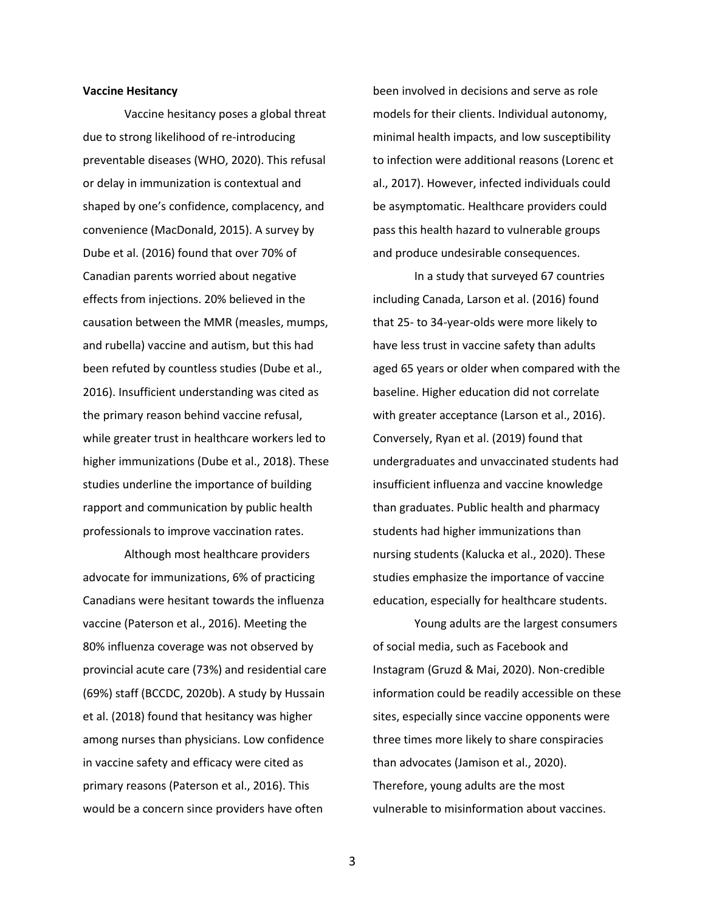#### **Vaccine Hesitancy**

Vaccine hesitancy poses a global threat due to strong likelihood of re-introducing preventable diseases (WHO, 2020). This refusal or delay in immunization is contextual and shaped by one's confidence, complacency, and convenience (MacDonald, 2015). A survey by Dube et al. (2016) found that over 70% of Canadian parents worried about negative effects from injections. 20% believed in the causation between the MMR (measles, mumps, and rubella) vaccine and autism, but this had been refuted by countless studies (Dube et al., 2016). Insufficient understanding was cited as the primary reason behind vaccine refusal, while greater trust in healthcare workers led to higher immunizations (Dube et al., 2018). These studies underline the importance of building rapport and communication by public health professionals to improve vaccination rates.

Although most healthcare providers advocate for immunizations, 6% of practicing Canadians were hesitant towards the influenza vaccine (Paterson et al., 2016). Meeting the 80% influenza coverage was not observed by provincial acute care (73%) and residential care (69%) staff (BCCDC, 2020b). A study by Hussain et al. (2018) found that hesitancy was higher among nurses than physicians. Low confidence in vaccine safety and efficacy were cited as primary reasons (Paterson et al., 2016). This would be a concern since providers have often

been involved in decisions and serve as role models for their clients. Individual autonomy, minimal health impacts, and low susceptibility to infection were additional reasons (Lorenc et al., 2017). However, infected individuals could be asymptomatic. Healthcare providers could pass this health hazard to vulnerable groups and produce undesirable consequences.

In a study that surveyed 67 countries including Canada, Larson et al. (2016) found that 25- to 34-year-olds were more likely to have less trust in vaccine safety than adults aged 65 years or older when compared with the baseline. Higher education did not correlate with greater acceptance (Larson et al., 2016). Conversely, Ryan et al. (2019) found that undergraduates and unvaccinated students had insufficient influenza and vaccine knowledge than graduates. Public health and pharmacy students had higher immunizations than nursing students (Kalucka et al., 2020). These studies emphasize the importance of vaccine education, especially for healthcare students.

Young adults are the largest consumers of social media, such as Facebook and Instagram (Gruzd & Mai, 2020). Non-credible information could be readily accessible on these sites, especially since vaccine opponents were three times more likely to share conspiracies than advocates (Jamison et al., 2020). Therefore, young adults are the most vulnerable to misinformation about vaccines.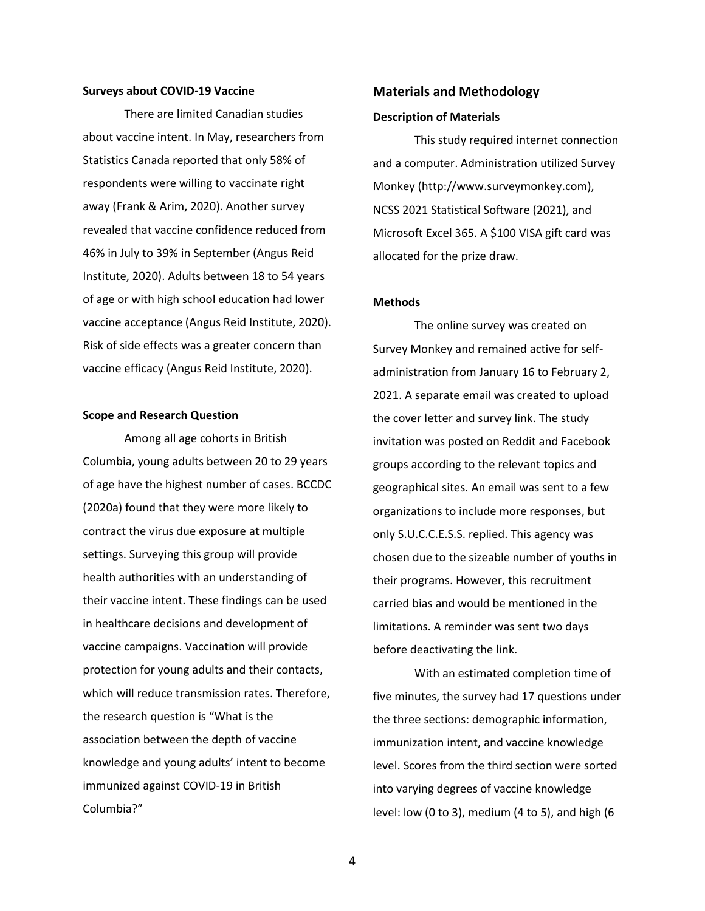#### **Surveys about COVID-19 Vaccine**

There are limited Canadian studies about vaccine intent. In May, researchers from Statistics Canada reported that only 58% of respondents were willing to vaccinate right away (Frank & Arim, 2020). Another survey revealed that vaccine confidence reduced from 46% in July to 39% in September (Angus Reid Institute, 2020). Adults between 18 to 54 years of age or with high school education had lower vaccine acceptance (Angus Reid Institute, 2020). Risk of side effects was a greater concern than vaccine efficacy (Angus Reid Institute, 2020).

#### **Scope and Research Question**

Among all age cohorts in British Columbia, young adults between 20 to 29 years of age have the highest number of cases. BCCDC (2020a) found that they were more likely to contract the virus due exposure at multiple settings. Surveying this group will provide health authorities with an understanding of their vaccine intent. These findings can be used in healthcare decisions and development of vaccine campaigns. Vaccination will provide protection for young adults and their contacts, which will reduce transmission rates. Therefore, the research question is "What is the association between the depth of vaccine knowledge and young adults' intent to become immunized against COVID-19 in British Columbia?"

## **Materials and Methodology**

#### **Description of Materials**

This study required internet connection and a computer. Administration utilized Survey Monkey (http://www.surveymonkey.com), NCSS 2021 Statistical Software (2021), and Microsoft Excel 365. A \$100 VISA gift card was allocated for the prize draw.

#### **Methods**

The online survey was created on Survey Monkey and remained active for selfadministration from January 16 to February 2, 2021. A separate email was created to upload the cover letter and survey link. The study invitation was posted on Reddit and Facebook groups according to the relevant topics and geographical sites. An email was sent to a few organizations to include more responses, but only S.U.C.C.E.S.S. replied. This agency was chosen due to the sizeable number of youths in their programs. However, this recruitment carried bias and would be mentioned in the limitations. A reminder was sent two days before deactivating the link.

With an estimated completion time of five minutes, the survey had 17 questions under the three sections: demographic information, immunization intent, and vaccine knowledge level. Scores from the third section were sorted into varying degrees of vaccine knowledge level: low (0 to 3), medium (4 to 5), and high (6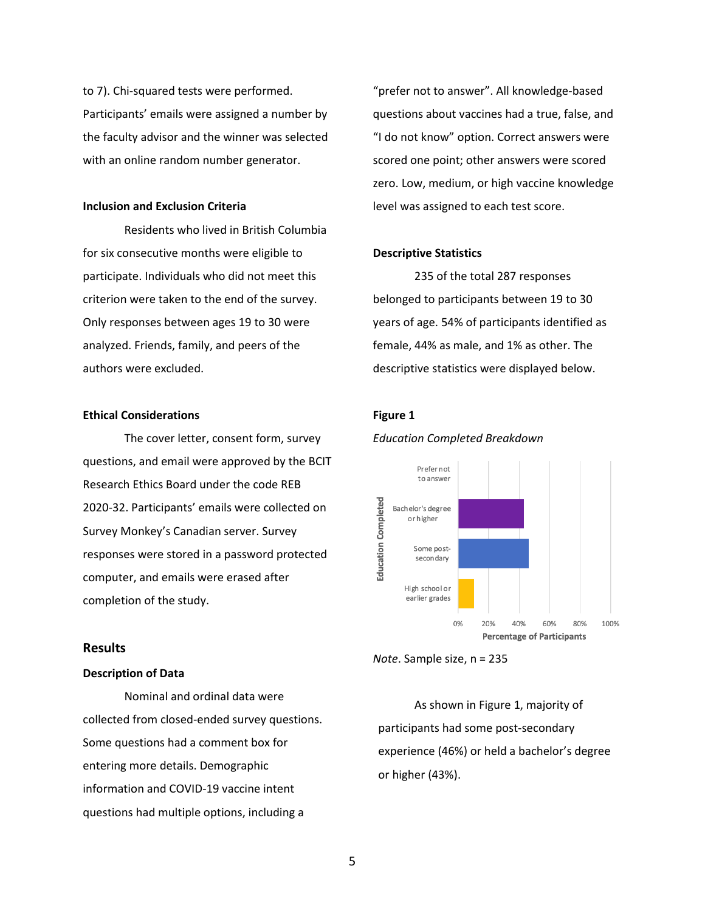to 7). Chi-squared tests were performed. Participants' emails were assigned a number by the faculty advisor and the winner was selected with an online random number generator.

#### **Inclusion and Exclusion Criteria**

Residents who lived in British Columbia for six consecutive months were eligible to participate. Individuals who did not meet this criterion were taken to the end of the survey. Only responses between ages 19 to 30 were analyzed. Friends, family, and peers of the authors were excluded.

#### **Ethical Considerations**

The cover letter, consent form, survey questions, and email were approved by the BCIT Research Ethics Board under the code REB 2020-32. Participants' emails were collected on Survey Monkey's Canadian server. Survey responses were stored in a password protected computer, and emails were erased after completion of the study.

## **Results**

#### **Description of Data**

Nominal and ordinal data were collected from closed-ended survey questions. Some questions had a comment box for entering more details. Demographic information and COVID-19 vaccine intent questions had multiple options, including a

"prefer not to answer". All knowledge-based questions about vaccines had a true, false, and "I do not know" option. Correct answers were scored one point; other answers were scored zero. Low, medium, or high vaccine knowledge level was assigned to each test score.

### **Descriptive Statistics**

235 of the total 287 responses belonged to participants between 19 to 30 years of age. 54% of participants identified as female, 44% as male, and 1% as other. The descriptive statistics were displayed below.

#### **Figure 1**





As shown in Figure 1, majority of participants had some post-secondary experience (46%) or held a bachelor's degree or higher (43%).

*Note*. Sample size, n = 235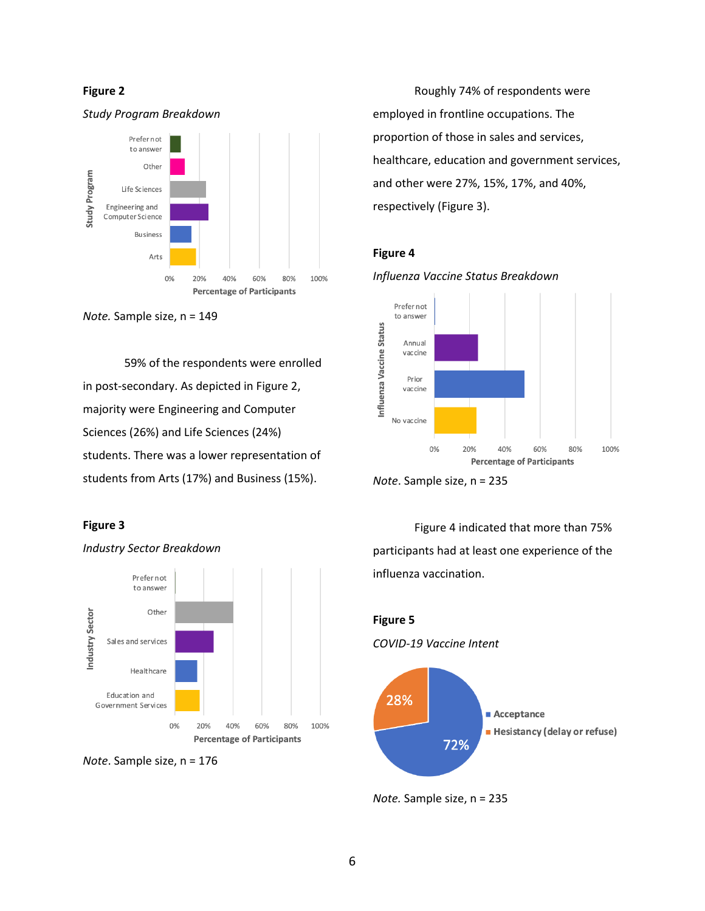### **Figure 2**



*Note.* Sample size, n = 149

59% of the respondents were enrolled in post-secondary. As depicted in Figure 2, majority were Engineering and Computer Sciences (26%) and Life Sciences (24%) students. There was a lower representation of students from Arts (17%) and Business (15%).

## **Figure 3**





*Industry Sector Breakdown*

Roughly 74% of respondents were employed in frontline occupations. The proportion of those in sales and services, healthcare, education and government services, and other were 27%, 15%, 17%, and 40%, respectively (Figure 3).

## **Figure 4**



*Note*. Sample size, n = 235

Figure 4 indicated that more than 75% participants had at least one experience of the influenza vaccination.



*Note.* Sample size, n = 235

*Influenza Vaccine Status Breakdown*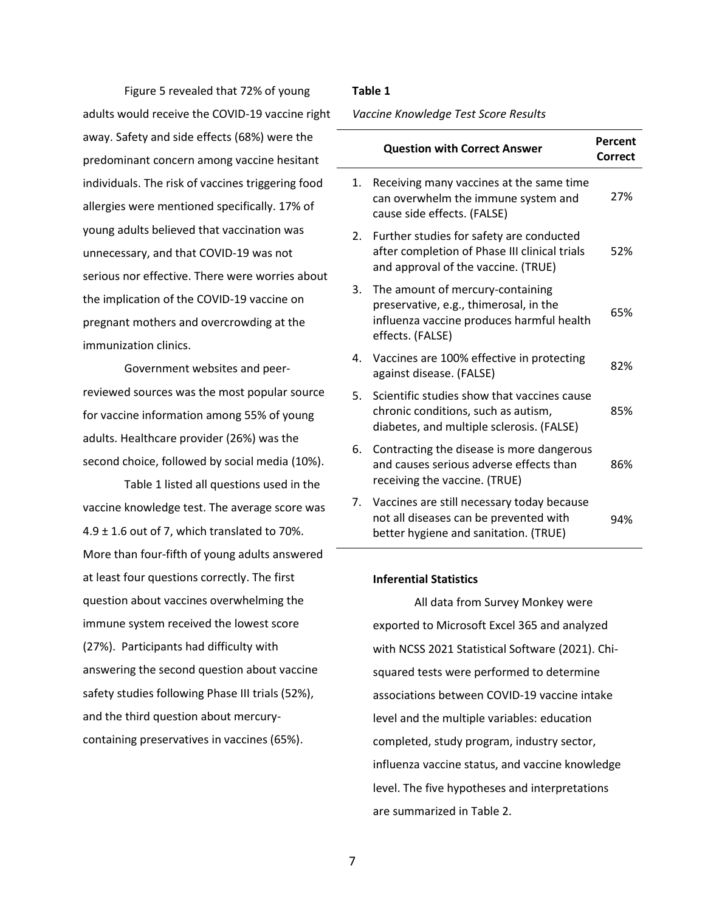Figure 5 revealed that 72% of young adults would receive the COVID-19 vaccine right away. Safety and side effects (68%) were the predominant concern among vaccine hesitant individuals. The risk of vaccines triggering food allergies were mentioned specifically. 17% of young adults believed that vaccination was unnecessary, and that COVID-19 was not serious nor effective. There were worries about the implication of the COVID-19 vaccine on pregnant mothers and overcrowding at the immunization clinics.

Government websites and peerreviewed sources was the most popular source for vaccine information among 55% of young adults. Healthcare provider (26%) was the second choice, followed by social media (10%).

Table 1 listed all questions used in the vaccine knowledge test. The average score was  $4.9 \pm 1.6$  out of 7, which translated to 70%. More than four-fifth of young adults answered at least four questions correctly. The first question about vaccines overwhelming the immune system received the lowest score (27%). Participants had difficulty with answering the second question about vaccine safety studies following Phase III trials (52%), and the third question about mercurycontaining preservatives in vaccines (65%).

## **Table 1**

*Vaccine Knowledge Test Score Results*

|    | <b>Question with Correct Answer</b>                                                                                                         | Percent<br><b>Correct</b> |
|----|---------------------------------------------------------------------------------------------------------------------------------------------|---------------------------|
| 1. | Receiving many vaccines at the same time<br>can overwhelm the immune system and<br>cause side effects. (FALSE)                              | 27%                       |
| 2. | Further studies for safety are conducted<br>after completion of Phase III clinical trials<br>and approval of the vaccine. (TRUE)            | 52%                       |
| 3. | The amount of mercury-containing<br>preservative, e.g., thimerosal, in the<br>influenza vaccine produces harmful health<br>effects. (FALSE) | 65%                       |
| 4. | Vaccines are 100% effective in protecting<br>against disease. (FALSE)                                                                       | 82%                       |
| 5. | Scientific studies show that vaccines cause<br>chronic conditions, such as autism,<br>diabetes, and multiple sclerosis. (FALSE)             | 85%                       |
| 6. | Contracting the disease is more dangerous<br>and causes serious adverse effects than<br>receiving the vaccine. (TRUE)                       | 86%                       |
|    | 7. Vaccines are still necessary today because<br>not all diseases can be prevented with<br>better hygiene and sanitation. (TRUE)            | 94%                       |

#### **Inferential Statistics**

All data from Survey Monkey were exported to Microsoft Excel 365 and analyzed with NCSS 2021 Statistical Software (2021). Chisquared tests were performed to determine associations between COVID-19 vaccine intake level and the multiple variables: education completed, study program, industry sector, influenza vaccine status, and vaccine knowledge level. The five hypotheses and interpretations are summarized in Table 2.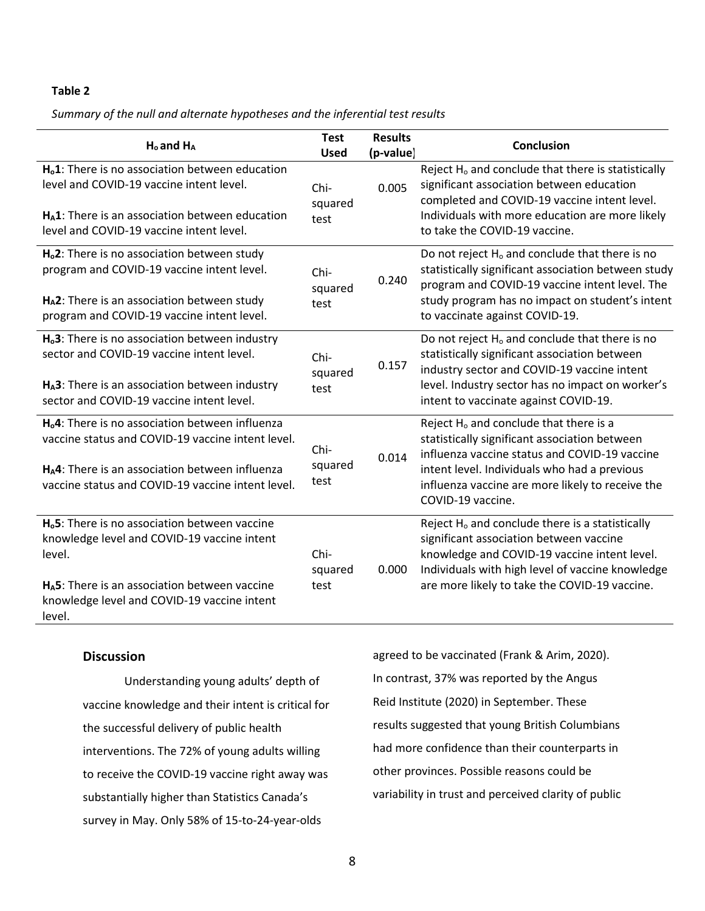## **Table 2**

*Summary of the null and alternate hypotheses and the inferential test results*

| $H_0$ and $H_A$                                                                                                                                                                                                                      | <b>Test</b><br><b>Used</b> | <b>Results</b><br>(p-value) | Conclusion                                                                                                                                                                                                                                                                    |
|--------------------------------------------------------------------------------------------------------------------------------------------------------------------------------------------------------------------------------------|----------------------------|-----------------------------|-------------------------------------------------------------------------------------------------------------------------------------------------------------------------------------------------------------------------------------------------------------------------------|
| H <sub>o</sub> 1: There is no association between education<br>level and COVID-19 vaccine intent level.<br>H <sub>A</sub> 1: There is an association between education<br>level and COVID-19 vaccine intent level.                   | Chi-<br>squared<br>test    | 0.005                       | Reject H <sub>o</sub> and conclude that there is statistically<br>significant association between education<br>completed and COVID-19 vaccine intent level.<br>Individuals with more education are more likely<br>to take the COVID-19 vaccine.                               |
| H <sub>o</sub> 2: There is no association between study<br>program and COVID-19 vaccine intent level.<br>H <sub>A</sub> 2: There is an association between study<br>program and COVID-19 vaccine intent level.                       | Chi-<br>squared<br>test    | 0.240                       | Do not reject H <sub>o</sub> and conclude that there is no<br>statistically significant association between study<br>program and COVID-19 vaccine intent level. The<br>study program has no impact on student's intent<br>to vaccinate against COVID-19.                      |
| H <sub>o</sub> 3: There is no association between industry<br>sector and COVID-19 vaccine intent level.<br>H <sub>A</sub> 3: There is an association between industry<br>sector and COVID-19 vaccine intent level.                   | Chi-<br>squared<br>test    | 0.157                       | Do not reject H <sub>o</sub> and conclude that there is no<br>statistically significant association between<br>industry sector and COVID-19 vaccine intent<br>level. Industry sector has no impact on worker's<br>intent to vaccinate against COVID-19.                       |
| H <sub>o</sub> 4: There is no association between influenza<br>vaccine status and COVID-19 vaccine intent level.<br>H <sub>A</sub> 4: There is an association between influenza<br>vaccine status and COVID-19 vaccine intent level. | Chi-<br>squared<br>test    | 0.014                       | Reject H <sub>o</sub> and conclude that there is a<br>statistically significant association between<br>influenza vaccine status and COVID-19 vaccine<br>intent level. Individuals who had a previous<br>influenza vaccine are more likely to receive the<br>COVID-19 vaccine. |
| H <sub>0</sub> 5: There is no association between vaccine<br>knowledge level and COVID-19 vaccine intent<br>level.<br>$H_A$ 5: There is an association between vaccine<br>knowledge level and COVID-19 vaccine intent<br>level.      | Chi-<br>squared<br>test    | 0.000                       | Reject H <sub>o</sub> and conclude there is a statistically<br>significant association between vaccine<br>knowledge and COVID-19 vaccine intent level.<br>Individuals with high level of vaccine knowledge<br>are more likely to take the COVID-19 vaccine.                   |

## **Discussion**

Understanding young adults' depth of vaccine knowledge and their intent is critical for the successful delivery of public health interventions. The 72% of young adults willing to receive the COVID-19 vaccine right away was substantially higher than Statistics Canada's survey in May. Only 58% of 15-to-24-year-olds

agreed to be vaccinated (Frank & Arim, 2020). In contrast, 37% was reported by the Angus Reid Institute (2020) in September. These results suggested that young British Columbians had more confidence than their counterparts in other provinces. Possible reasons could be variability in trust and perceived clarity of public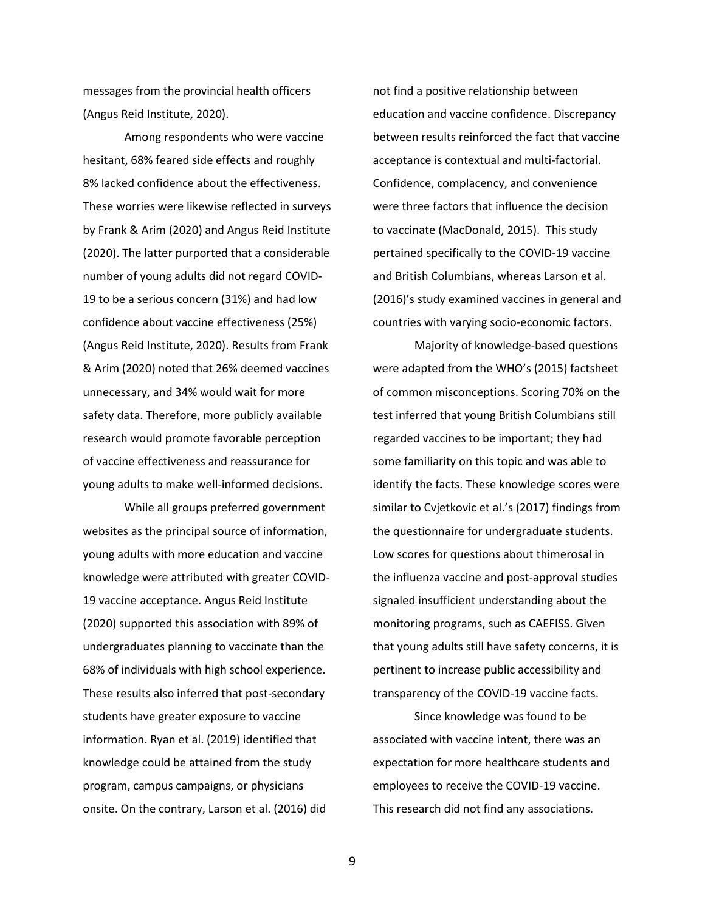messages from the provincial health officers (Angus Reid Institute, 2020).

Among respondents who were vaccine hesitant, 68% feared side effects and roughly 8% lacked confidence about the effectiveness. These worries were likewise reflected in surveys by Frank & Arim (2020) and Angus Reid Institute (2020). The latter purported that a considerable number of young adults did not regard COVID-19 to be a serious concern (31%) and had low confidence about vaccine effectiveness (25%) (Angus Reid Institute, 2020). Results from Frank & Arim (2020) noted that 26% deemed vaccines unnecessary, and 34% would wait for more safety data. Therefore, more publicly available research would promote favorable perception of vaccine effectiveness and reassurance for young adults to make well-informed decisions.

While all groups preferred government websites as the principal source of information, young adults with more education and vaccine knowledge were attributed with greater COVID-19 vaccine acceptance. Angus Reid Institute (2020) supported this association with 89% of undergraduates planning to vaccinate than the 68% of individuals with high school experience. These results also inferred that post-secondary students have greater exposure to vaccine information. Ryan et al. (2019) identified that knowledge could be attained from the study program, campus campaigns, or physicians onsite. On the contrary, Larson et al. (2016) did

not find a positive relationship between education and vaccine confidence. Discrepancy between results reinforced the fact that vaccine acceptance is contextual and multi-factorial. Confidence, complacency, and convenience were three factors that influence the decision to vaccinate (MacDonald, 2015). This study pertained specifically to the COVID-19 vaccine and British Columbians, whereas Larson et al. (2016)'s study examined vaccines in general and countries with varying socio-economic factors.

Majority of knowledge-based questions were adapted from the WHO's (2015) factsheet of common misconceptions. Scoring 70% on the test inferred that young British Columbians still regarded vaccines to be important; they had some familiarity on this topic and was able to identify the facts. These knowledge scores were similar to Cvjetkovic et al.'s (2017) findings from the questionnaire for undergraduate students. Low scores for questions about thimerosal in the influenza vaccine and post-approval studies signaled insufficient understanding about the monitoring programs, such as CAEFISS. Given that young adults still have safety concerns, it is pertinent to increase public accessibility and transparency of the COVID-19 vaccine facts.

Since knowledge was found to be associated with vaccine intent, there was an expectation for more healthcare students and employees to receive the COVID-19 vaccine. This research did not find any associations.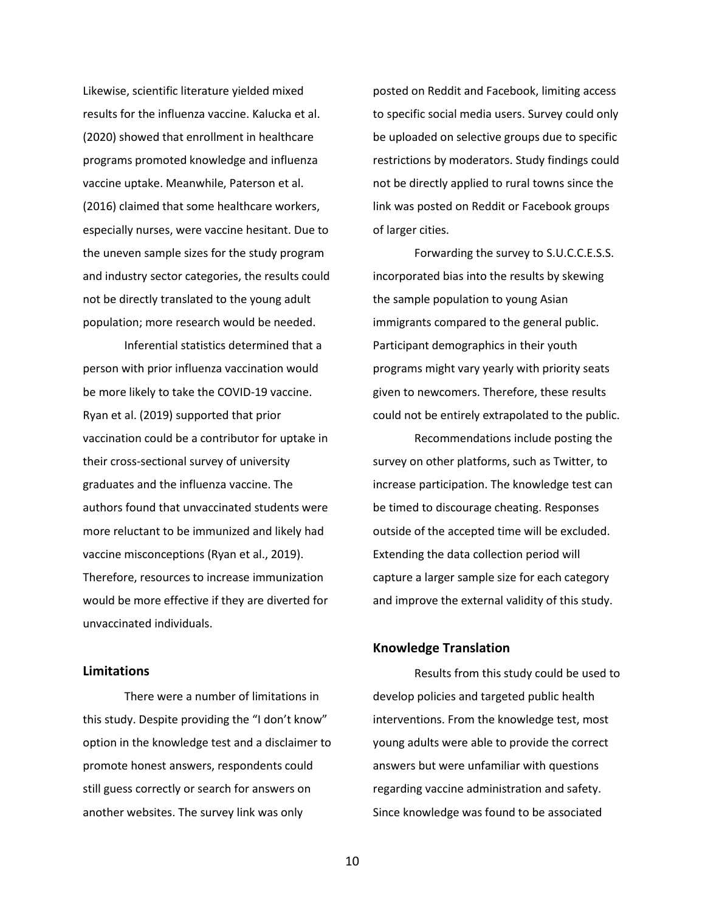Likewise, scientific literature yielded mixed results for the influenza vaccine. Kalucka et al. (2020) showed that enrollment in healthcare programs promoted knowledge and influenza vaccine uptake. Meanwhile, Paterson et al. (2016) claimed that some healthcare workers, especially nurses, were vaccine hesitant. Due to the uneven sample sizes for the study program and industry sector categories, the results could not be directly translated to the young adult population; more research would be needed.

Inferential statistics determined that a person with prior influenza vaccination would be more likely to take the COVID-19 vaccine. Ryan et al. (2019) supported that prior vaccination could be a contributor for uptake in their cross-sectional survey of university graduates and the influenza vaccine. The authors found that unvaccinated students were more reluctant to be immunized and likely had vaccine misconceptions (Ryan et al., 2019). Therefore, resources to increase immunization would be more effective if they are diverted for unvaccinated individuals.

## **Limitations**

There were a number of limitations in this study. Despite providing the "I don't know" option in the knowledge test and a disclaimer to promote honest answers, respondents could still guess correctly or search for answers on another websites. The survey link was only

posted on Reddit and Facebook, limiting access to specific social media users. Survey could only be uploaded on selective groups due to specific restrictions by moderators. Study findings could not be directly applied to rural towns since the link was posted on Reddit or Facebook groups of larger cities.

Forwarding the survey to S.U.C.C.E.S.S. incorporated bias into the results by skewing the sample population to young Asian immigrants compared to the general public. Participant demographics in their youth programs might vary yearly with priority seats given to newcomers. Therefore, these results could not be entirely extrapolated to the public.

Recommendations include posting the survey on other platforms, such as Twitter, to increase participation. The knowledge test can be timed to discourage cheating. Responses outside of the accepted time will be excluded. Extending the data collection period will capture a larger sample size for each category and improve the external validity of this study.

## **Knowledge Translation**

Results from this study could be used to develop policies and targeted public health interventions. From the knowledge test, most young adults were able to provide the correct answers but were unfamiliar with questions regarding vaccine administration and safety. Since knowledge was found to be associated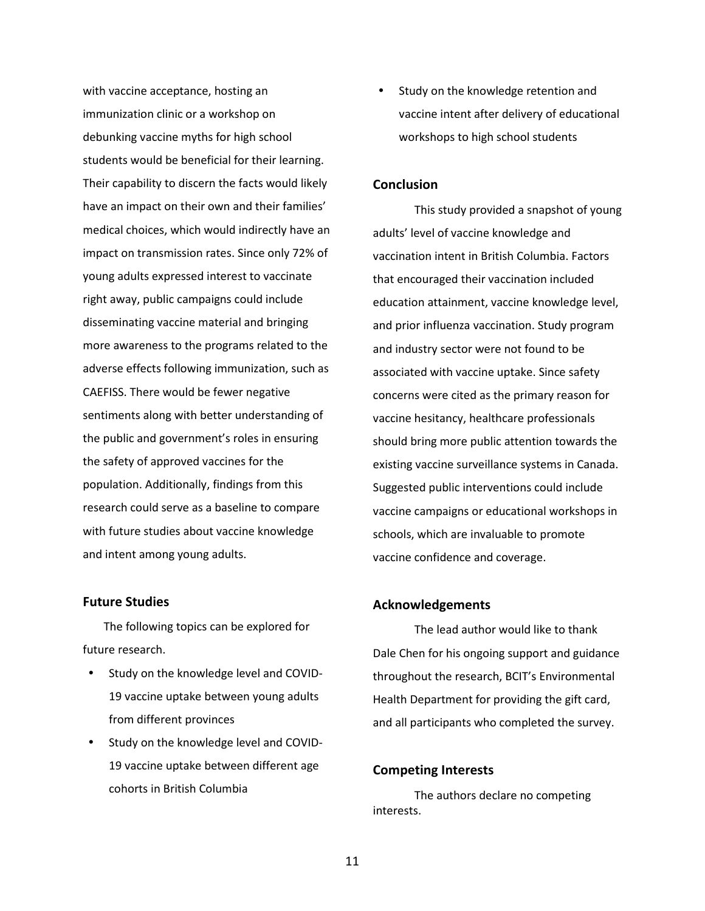with vaccine acceptance, hosting an immunization clinic or a workshop on debunking vaccine myths for high school students would be beneficial for their learning. Their capability to discern the facts would likely have an impact on their own and their families' medical choices, which would indirectly have an impact on transmission rates. Since only 72% of young adults expressed interest to vaccinate right away, public campaigns could include disseminating vaccine material and bringing more awareness to the programs related to the adverse effects following immunization, such as CAEFISS. There would be fewer negative sentiments along with better understanding of the public and government's roles in ensuring the safety of approved vaccines for the population. Additionally, findings from this research could serve as a baseline to compare with future studies about vaccine knowledge and intent among young adults.

## **Future Studies**

The following topics can be explored for future research.

- Study on the knowledge level and COVID-19 vaccine uptake between young adults from different provinces
- Study on the knowledge level and COVID-19 vaccine uptake between different age cohorts in British Columbia

• Study on the knowledge retention and vaccine intent after delivery of educational workshops to high school students

## **Conclusion**

This study provided a snapshot of young adults' level of vaccine knowledge and vaccination intent in British Columbia. Factors that encouraged their vaccination included education attainment, vaccine knowledge level, and prior influenza vaccination. Study program and industry sector were not found to be associated with vaccine uptake. Since safety concerns were cited as the primary reason for vaccine hesitancy, healthcare professionals should bring more public attention towards the existing vaccine surveillance systems in Canada. Suggested public interventions could include vaccine campaigns or educational workshops in schools, which are invaluable to promote vaccine confidence and coverage.

#### **Acknowledgements**

The lead author would like to thank Dale Chen for his ongoing support and guidance throughout the research, BCIT's Environmental Health Department for providing the gift card, and all participants who completed the survey.

### **Competing Interests**

The authors declare no competing interests.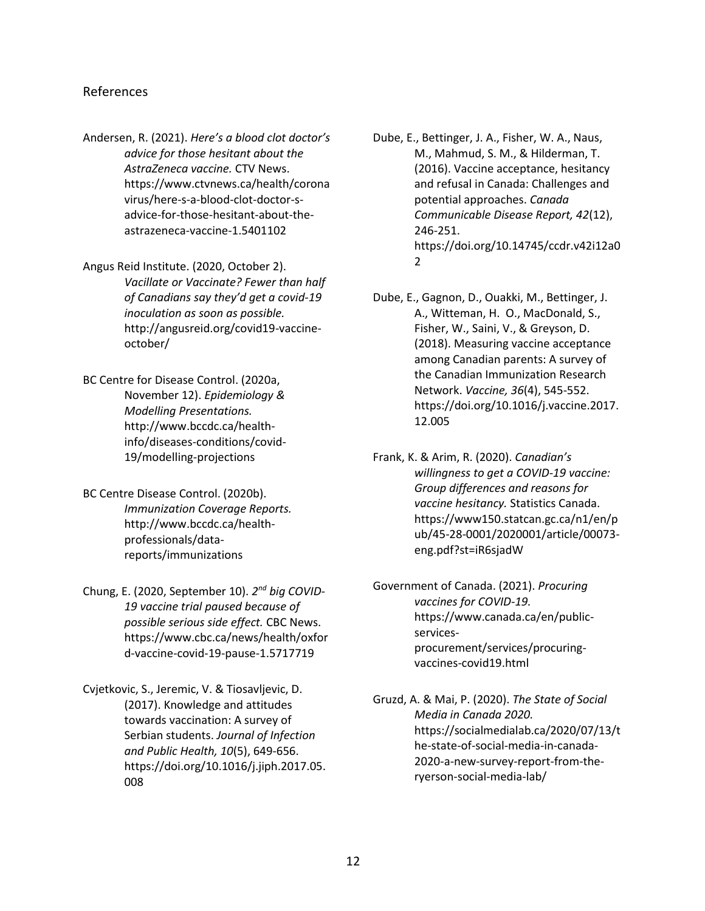## References

- Andersen, R. (2021). *Here's a blood clot doctor's advice for those hesitant about the AstraZeneca vaccine.* CTV News. https://www.ctvnews.ca/health/corona virus/here-s-a-blood-clot-doctor-sadvice-for-those-hesitant-about-theastrazeneca-vaccine-1.5401102
- Angus Reid Institute. (2020, October 2). *Vacillate or Vaccinate? Fewer than half of Canadians say they'd get a covid-19 inoculation as soon as possible.*  http://angusreid.org/covid19-vaccineoctober/
- BC Centre for Disease Control. (2020a, November 12). *Epidemiology & Modelling Presentations.* http://www.bccdc.ca/healthinfo/diseases-conditions/covid-19/modelling-projections
- BC Centre Disease Control. (2020b). *Immunization Coverage Reports.* http://www.bccdc.ca/healthprofessionals/datareports/immunizations
- Chung, E. (2020, September 10). *2 nd big COVID-19 vaccine trial paused because of possible serious side effect.* CBC News. https://www.cbc.ca/news/health/oxfor d-vaccine-covid-19-pause-1.5717719
- Cvjetkovic, S., Jeremic, V. & Tiosavljevic, D. (2017). Knowledge and attitudes towards vaccination: A survey of Serbian students. *Journal of Infection and Public Health, 10*(5), 649-656. https://doi.org[/10.1016/j.jiph.2017.05.](https://doi.org/10.1016/j.jiph.2017.05.008) [008](https://doi.org/10.1016/j.jiph.2017.05.008)
- Dube, E., Bettinger, J. A., Fisher, W. A., Naus, M., Mahmud, S. M., & Hilderman, T. (2016). Vaccine acceptance, hesitancy and refusal in Canada: Challenges and potential approaches. *Canada Communicable Disease Report, 42*(12), 246-251. https://doi.org/10.14745/ccdr.v42i12a0 2
- Dube, E., Gagnon, D., Ouakki, M., Bettinger, J. A., Witteman, H. O., MacDonald, S., Fisher, W., Saini, V., & Greyson, D. (2018). Measuring vaccine acceptance among Canadian parents: A survey of the Canadian Immunization Research Network. *Vaccine, 36*(4), 545-552. https://doi.org/10.1016/j.vaccine.2017. 12.005
- Frank, K. & Arim, R. (2020). *Canadian's willingness to get a COVID-19 vaccine: Group differences and reasons for vaccine hesitancy.* Statistics Canada. https://www150.statcan.gc.ca/n1/en/p ub/45-28-0001/2020001/article/00073 eng.pdf?st=iR6sjadW
- Government of Canada. (2021). *Procuring vaccines for COVID-19.* https://www.canada.ca/en/publicservicesprocurement/services/procuringvaccines-covid19.html
- Gruzd, A. & Mai, P. (2020). *The State of Social Media in Canada 2020.* https://socialmedialab.ca/2020/07/13/t he-state-of-social-media-in-canada-2020-a-new-survey-report-from-theryerson-social-media-lab/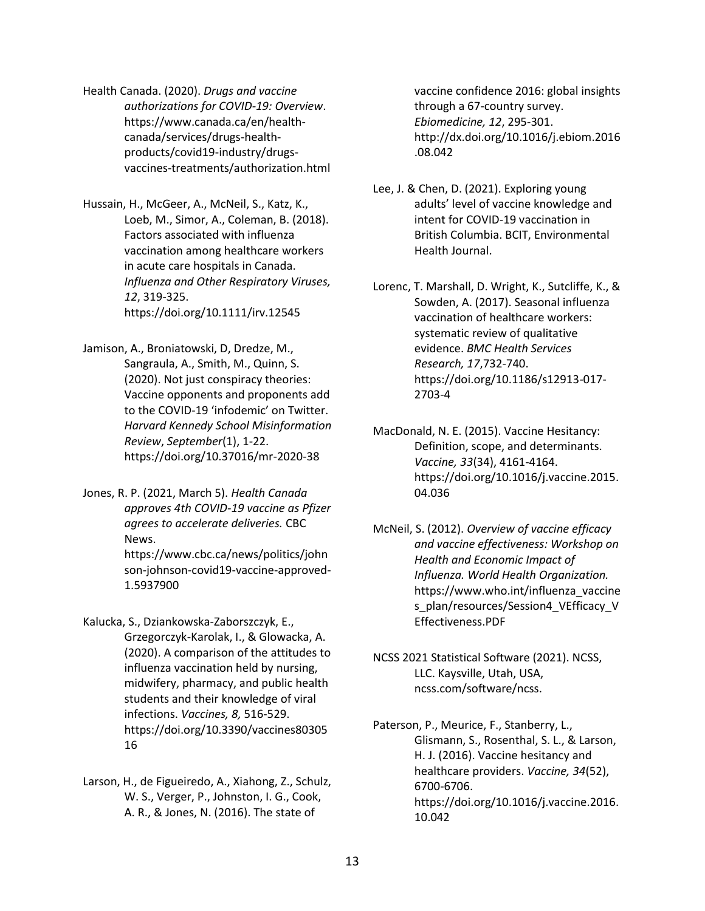Health Canada. (2020). *Drugs and vaccine authorizations for COVID-19: Overview*. https://www.canada.ca/en/healthcanada/services/drugs-healthproducts/covid19-industry/drugsvaccines-treatments/authorization.html

Hussain, H., McGeer, A., McNeil, S., Katz, K., Loeb, M., Simor, A., Coleman, B. (2018). Factors associated with influenza vaccination among healthcare workers in acute care hospitals in Canada. *Influenza and Other Respiratory Viruses, 12*, 319-325. https://doi.org/10.1111/irv.12545

- Jamison, A., Broniatowski, D, Dredze, M., Sangraula, A., Smith, M., Quinn, S. (2020). Not just conspiracy theories: Vaccine opponents and proponents add to the COVID-19 'infodemic' on Twitter. *Harvard Kennedy School Misinformation Review*, *September*(1), 1-22. https://doi.org/10.37016/mr-2020-38
- Jones, R. P. (2021, March 5). *Health Canada approves 4th COVID-19 vaccine as Pfizer agrees to accelerate deliveries.* CBC News. https://www.cbc.ca/news/politics/john son-johnson-covid19-vaccine-approved-1.5937900
- Kalucka, S., Dziankowska-Zaborszczyk, E., Grzegorczyk-Karolak, I., & Glowacka, A. (2020). A comparison of the attitudes to influenza vaccination held by nursing, midwifery, pharmacy, and public health students and their knowledge of viral infections. *Vaccines, 8,* 516-529. https://doi.org/10.3390/vaccines80305 16
- Larson, H., de Figueiredo, A., Xiahong, Z., Schulz, W. S., Verger, P., Johnston, I. G., Cook, A. R., & Jones, N. (2016). The state of

vaccine confidence 2016: global insights through a 67-country survey. *Ebiomedicine, 12*, 295-301. http://dx.doi.org/10.1016/j.ebiom.2016 .08.042

Lee, J. & Chen, D. (2021). Exploring young adults' level of vaccine knowledge and intent for COVID-19 vaccination in British Columbia. BCIT, Environmental Health Journal.

Lorenc, T. Marshall, D. Wright, K., Sutcliffe, K., & Sowden, A. (2017). Seasonal influenza vaccination of healthcare workers: systematic review of qualitative evidence. *BMC Health Services Research, 17*,732-740. https://doi.org/10.1186/s12913-017- 2703-4

- MacDonald, N. E. (2015). Vaccine Hesitancy: Definition, scope, and determinants. *Vaccine, 33*(34), 4161-4164. https://doi.org/10.1016/j.vaccine.2015. 04.036
- McNeil, S. (2012). *Overview of vaccine efficacy and vaccine effectiveness: Workshop on Health and Economic Impact of Influenza. World Health Organization.* https://www.who.int/influenza\_vaccine s\_plan/resources/Session4\_VEfficacy\_V Effectiveness.PDF
- NCSS 2021 Statistical Software (2021). NCSS, LLC. Kaysville, Utah, USA, ncss.com/software/ncss.
- Paterson, P., Meurice, F., Stanberry, L., Glismann, S., Rosenthal, S. L., & Larson, H. J. (2016). Vaccine hesitancy and healthcare providers. *Vaccine, 34*(52), 6700-6706. https://doi.org/10.1016/j.vaccine.2016. 10.042